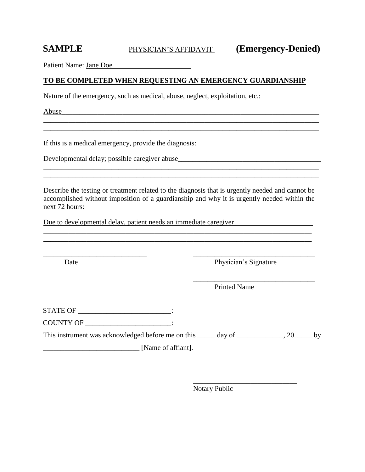Patient Name: Jane Doe

## **TO BE COMPLETED WHEN REQUESTING AN EMERGENCY GUARDIANSHIP**

Nature of the emergency, such as medical, abuse, neglect, exploitation, etc.:

Abuse

If this is a medical emergency, provide the diagnosis:

Developmental delay; possible caregiver abuse

Describe the testing or treatment related to the diagnosis that is urgently needed and cannot be accomplished without imposition of a guardianship and why it is urgently needed within the next 72 hours:

\_\_\_\_\_\_\_\_\_\_\_\_\_\_\_\_\_\_\_\_\_\_\_\_\_\_\_\_\_ \_\_\_\_\_\_\_\_\_\_\_\_\_\_\_\_\_\_\_\_\_\_\_\_\_\_\_\_\_\_\_\_\_\_

\_\_\_\_\_\_\_\_\_\_\_\_\_\_\_\_\_\_\_\_\_\_\_\_\_\_\_\_\_\_\_\_\_\_\_\_\_\_\_\_\_\_\_\_\_\_\_\_\_\_\_\_\_\_\_\_\_\_\_\_\_\_\_\_\_\_\_\_\_\_\_\_\_\_\_\_\_ \_\_\_\_\_\_\_\_\_\_\_\_\_\_\_\_\_\_\_\_\_\_\_\_\_\_\_\_\_\_\_\_\_\_\_\_\_\_\_\_\_\_\_\_\_\_\_\_\_\_\_\_\_\_\_\_\_\_\_\_\_\_\_\_\_\_\_\_\_\_\_\_\_\_\_\_\_

\_\_\_\_\_\_\_\_\_\_\_\_\_\_\_\_\_\_\_\_\_\_\_\_\_\_\_\_\_\_\_\_\_\_\_\_\_\_\_\_\_\_\_\_\_\_\_\_\_\_\_\_\_\_\_\_\_\_\_\_\_\_\_\_\_\_\_\_\_\_\_\_\_\_\_\_\_

Due to developmental delay, patient needs an immediate caregiver

Date Physician's Signature

\_\_\_\_\_\_\_\_\_\_\_\_\_\_\_\_\_\_\_\_\_\_\_\_\_\_\_\_\_\_\_\_\_\_ Printed Name

STATE OF \_\_\_\_\_\_\_\_\_\_\_\_\_\_\_\_\_\_\_\_\_\_\_\_\_\_\_\_:

COUNTY OF \_\_\_\_\_\_\_\_\_\_\_\_\_\_\_\_\_\_\_\_\_\_\_\_:

This instrument was acknowledged before me on this \_\_\_\_\_ day of \_\_\_\_\_\_\_\_\_\_\_, 20\_\_\_\_\_ by

 $\Box$  [Name of affiant].

\_\_\_\_\_\_\_\_\_\_\_\_\_\_\_\_\_\_\_\_\_\_\_\_\_\_\_\_\_ Notary Public